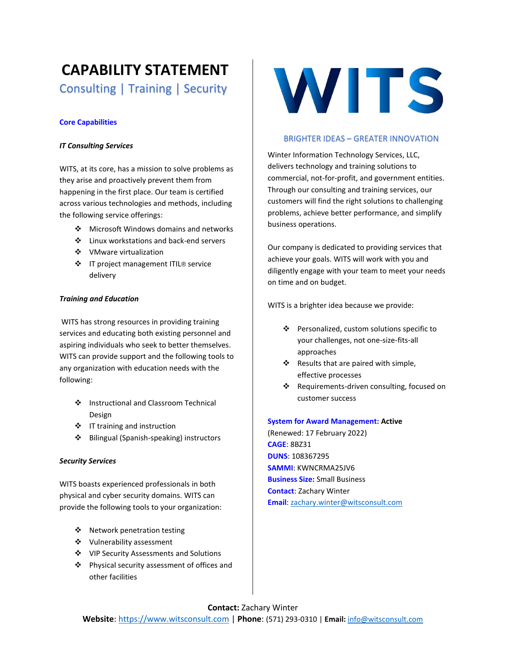# **CAPABILITY STATEMENT**  Consulting | Training | Security

# **Core Capabilities**

# *IT Consulting Services*

WITS, at its core, has a mission to solve problems as they arise and proactively prevent them from happening in the first place. Our team is certified across various technologies and methods, including the following service offerings:

- ❖ Microsoft Windows domains and networks
- ❖ Linux workstations and back-end servers
- ❖ VMware virtualization
- ❖ IT project management ITIL® service delivery

# *Training and Education*

WITS has strong resources in providing training services and educating both existing personnel and aspiring individuals who seek to better themselves. WITS can provide support and the following tools to any organization with education needs with the following:

- ❖ Instructional and Classroom Technical Design
- ❖ IT training and instruction
- ❖ Bilingual (Spanish-speaking) instructors

#### *Security Services*

WITS boasts experienced professionals in both physical and cyber security domains. WITS can provide the following tools to your organization:

- ❖ Network penetration testing
- ❖ Vulnerability assessment
- ❖ VIP Security Assessments and Solutions
- ❖ Physical security assessment of offices and other facilities



# BRIGHTER IDEAS – GREATER INNOVATION

Winter Information Technology Services, LLC, delivers technology and training solutions to commercial, not-for-profit, and government entities. Through our consulting and training services, our customers will find the right solutions to challenging problems, achieve better performance, and simplify business operations.

Our company is dedicated to providing services that achieve your goals. WITS will work with you and diligently engage with your team to meet your needs on time and on budget.

WITS is a brighter idea because we provide:

- ❖ Personalized, custom solutions specific to your challenges, not one-size-fits-all approaches
- ❖ Results that are paired with simple, effective processes
- ❖ Requirements-driven consulting, focused on customer success

# **System for Award Management: Active**

(Renewed: 17 February 2022) **CAGE**: 8BZ31 **DUNS**: 108367295 **SAMMI**: KWNCRMA25JV6 **Business Size:** Small Business **Contact**: Zachary Winter **Email**: [zachary.winter@witsconsult.com](mailto:zachary.winter@witsconsult.com)